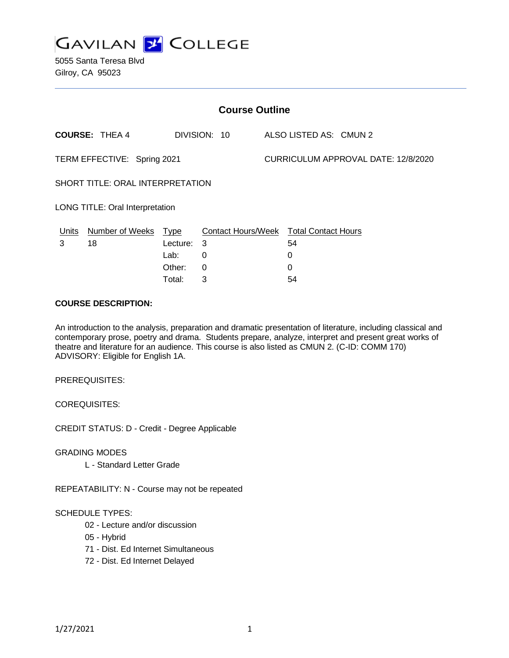

5055 Santa Teresa Blvd Gilroy, CA 95023

| <b>Course Outline</b>            |                        |             |                                        |  |                                            |  |  |
|----------------------------------|------------------------|-------------|----------------------------------------|--|--------------------------------------------|--|--|
|                                  | <b>COURSE: THEA 4</b>  |             | DIVISION: 10                           |  | ALSO LISTED AS: CMUN 2                     |  |  |
| TERM EFFECTIVE: Spring 2021      |                        |             |                                        |  | <b>CURRICULUM APPROVAL DATE: 12/8/2020</b> |  |  |
| SHORT TITLE: ORAL INTERPRETATION |                        |             |                                        |  |                                            |  |  |
| LONG TITLE: Oral Interpretation  |                        |             |                                        |  |                                            |  |  |
| <u>Units</u>                     | <b>Number of Weeks</b> | <u>Type</u> | Contact Hours/Week Total Contact Hours |  |                                            |  |  |
| 3                                | 18                     | Lecture:    | 3                                      |  | 54                                         |  |  |
|                                  |                        | Lab:        | 0                                      |  | 0                                          |  |  |
|                                  |                        | Other:      | $\Omega$                               |  | 0                                          |  |  |
|                                  |                        | Total:      | 3                                      |  | 54                                         |  |  |

### **COURSE DESCRIPTION:**

An introduction to the analysis, preparation and dramatic presentation of literature, including classical and contemporary prose, poetry and drama. Students prepare, analyze, interpret and present great works of theatre and literature for an audience. This course is also listed as CMUN 2. (C-ID: COMM 170) ADVISORY: Eligible for English 1A.

PREREQUISITES:

COREQUISITES:

CREDIT STATUS: D - Credit - Degree Applicable

GRADING MODES

L - Standard Letter Grade

REPEATABILITY: N - Course may not be repeated

#### SCHEDULE TYPES:

- 02 Lecture and/or discussion
- 05 Hybrid
- 71 Dist. Ed Internet Simultaneous
- 72 Dist. Ed Internet Delayed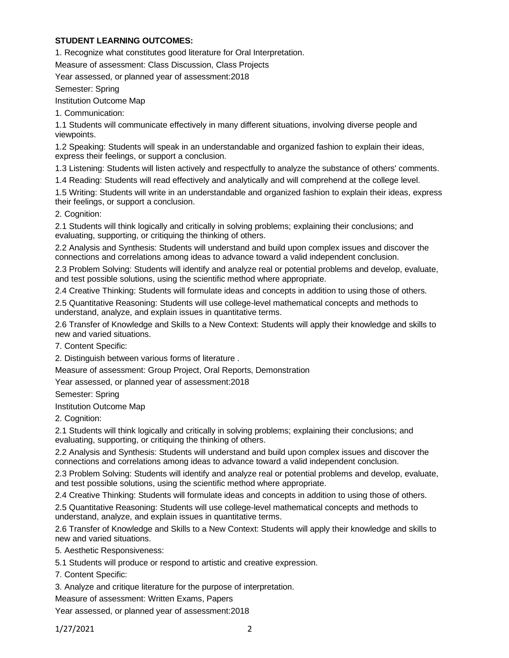### **STUDENT LEARNING OUTCOMES:**

1. Recognize what constitutes good literature for Oral Interpretation.

Measure of assessment: Class Discussion, Class Projects

Year assessed, or planned year of assessment:2018

Semester: Spring

Institution Outcome Map

1. Communication:

1.1 Students will communicate effectively in many different situations, involving diverse people and viewpoints.

1.2 Speaking: Students will speak in an understandable and organized fashion to explain their ideas, express their feelings, or support a conclusion.

1.3 Listening: Students will listen actively and respectfully to analyze the substance of others' comments.

1.4 Reading: Students will read effectively and analytically and will comprehend at the college level.

1.5 Writing: Students will write in an understandable and organized fashion to explain their ideas, express their feelings, or support a conclusion.

2. Cognition:

2.1 Students will think logically and critically in solving problems; explaining their conclusions; and evaluating, supporting, or critiquing the thinking of others.

2.2 Analysis and Synthesis: Students will understand and build upon complex issues and discover the connections and correlations among ideas to advance toward a valid independent conclusion.

2.3 Problem Solving: Students will identify and analyze real or potential problems and develop, evaluate, and test possible solutions, using the scientific method where appropriate.

2.4 Creative Thinking: Students will formulate ideas and concepts in addition to using those of others.

2.5 Quantitative Reasoning: Students will use college-level mathematical concepts and methods to understand, analyze, and explain issues in quantitative terms.

2.6 Transfer of Knowledge and Skills to a New Context: Students will apply their knowledge and skills to new and varied situations.

7. Content Specific:

2. Distinguish between various forms of literature .

Measure of assessment: Group Project, Oral Reports, Demonstration

Year assessed, or planned year of assessment:2018

Semester: Spring

Institution Outcome Map

2. Cognition:

2.1 Students will think logically and critically in solving problems; explaining their conclusions; and evaluating, supporting, or critiquing the thinking of others.

2.2 Analysis and Synthesis: Students will understand and build upon complex issues and discover the connections and correlations among ideas to advance toward a valid independent conclusion.

2.3 Problem Solving: Students will identify and analyze real or potential problems and develop, evaluate, and test possible solutions, using the scientific method where appropriate.

2.4 Creative Thinking: Students will formulate ideas and concepts in addition to using those of others.

2.5 Quantitative Reasoning: Students will use college-level mathematical concepts and methods to understand, analyze, and explain issues in quantitative terms.

2.6 Transfer of Knowledge and Skills to a New Context: Students will apply their knowledge and skills to new and varied situations.

5. Aesthetic Responsiveness:

5.1 Students will produce or respond to artistic and creative expression.

7. Content Specific:

3. Analyze and critique literature for the purpose of interpretation.

Measure of assessment: Written Exams, Papers

Year assessed, or planned year of assessment:2018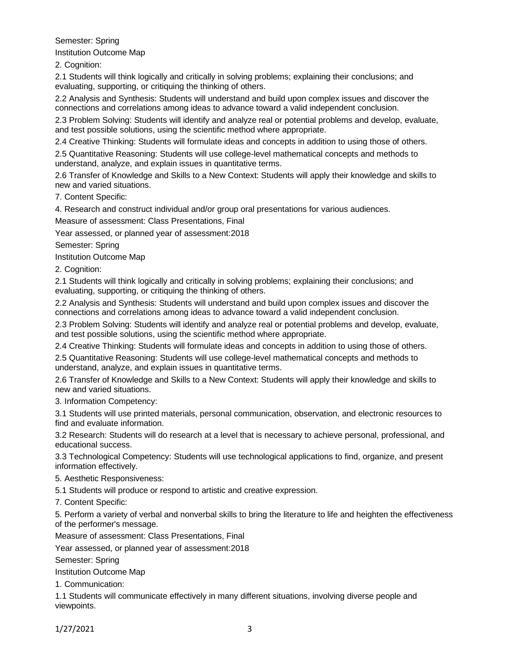## Semester: Spring

Institution Outcome Map

2. Cognition:

2.1 Students will think logically and critically in solving problems; explaining their conclusions; and evaluating, supporting, or critiquing the thinking of others.

2.2 Analysis and Synthesis: Students will understand and build upon complex issues and discover the connections and correlations among ideas to advance toward a valid independent conclusion.

2.3 Problem Solving: Students will identify and analyze real or potential problems and develop, evaluate, and test possible solutions, using the scientific method where appropriate.

2.4 Creative Thinking: Students will formulate ideas and concepts in addition to using those of others.

2.5 Quantitative Reasoning: Students will use college-level mathematical concepts and methods to understand, analyze, and explain issues in quantitative terms.

2.6 Transfer of Knowledge and Skills to a New Context: Students will apply their knowledge and skills to new and varied situations.

7. Content Specific:

4. Research and construct individual and/or group oral presentations for various audiences.

Measure of assessment: Class Presentations, Final

Year assessed, or planned year of assessment:2018

Semester: Spring

Institution Outcome Map

2. Cognition:

2.1 Students will think logically and critically in solving problems; explaining their conclusions; and evaluating, supporting, or critiquing the thinking of others.

2.2 Analysis and Synthesis: Students will understand and build upon complex issues and discover the connections and correlations among ideas to advance toward a valid independent conclusion.

2.3 Problem Solving: Students will identify and analyze real or potential problems and develop, evaluate, and test possible solutions, using the scientific method where appropriate.

2.4 Creative Thinking: Students will formulate ideas and concepts in addition to using those of others.

2.5 Quantitative Reasoning: Students will use college-level mathematical concepts and methods to understand, analyze, and explain issues in quantitative terms.

2.6 Transfer of Knowledge and Skills to a New Context: Students will apply their knowledge and skills to new and varied situations.

3. Information Competency:

3.1 Students will use printed materials, personal communication, observation, and electronic resources to find and evaluate information.

3.2 Research: Students will do research at a level that is necessary to achieve personal, professional, and educational success.

3.3 Technological Competency: Students will use technological applications to find, organize, and present information effectively.

5. Aesthetic Responsiveness:

5.1 Students will produce or respond to artistic and creative expression.

7. Content Specific:

5. Perform a variety of verbal and nonverbal skills to bring the literature to life and heighten the effectiveness of the performer's message.

Measure of assessment: Class Presentations, Final

Year assessed, or planned year of assessment:2018

Semester: Spring

Institution Outcome Map

1. Communication:

1.1 Students will communicate effectively in many different situations, involving diverse people and viewpoints.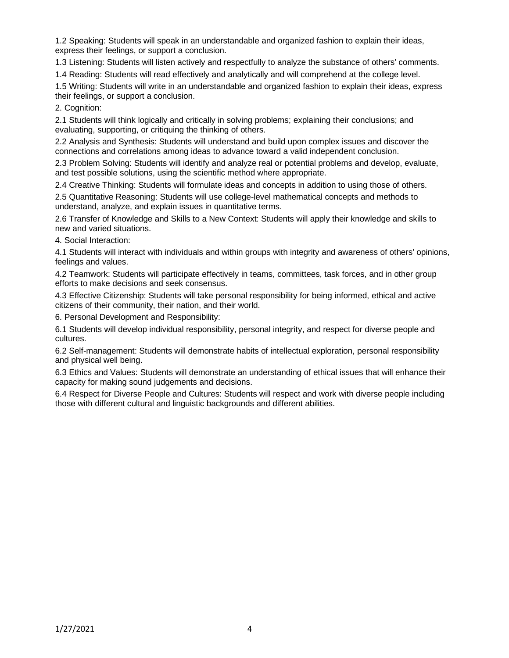1.2 Speaking: Students will speak in an understandable and organized fashion to explain their ideas, express their feelings, or support a conclusion.

1.3 Listening: Students will listen actively and respectfully to analyze the substance of others' comments.

1.4 Reading: Students will read effectively and analytically and will comprehend at the college level.

1.5 Writing: Students will write in an understandable and organized fashion to explain their ideas, express their feelings, or support a conclusion.

2. Cognition:

2.1 Students will think logically and critically in solving problems; explaining their conclusions; and evaluating, supporting, or critiquing the thinking of others.

2.2 Analysis and Synthesis: Students will understand and build upon complex issues and discover the connections and correlations among ideas to advance toward a valid independent conclusion.

2.3 Problem Solving: Students will identify and analyze real or potential problems and develop, evaluate, and test possible solutions, using the scientific method where appropriate.

2.4 Creative Thinking: Students will formulate ideas and concepts in addition to using those of others.

2.5 Quantitative Reasoning: Students will use college-level mathematical concepts and methods to understand, analyze, and explain issues in quantitative terms.

2.6 Transfer of Knowledge and Skills to a New Context: Students will apply their knowledge and skills to new and varied situations.

4. Social Interaction:

4.1 Students will interact with individuals and within groups with integrity and awareness of others' opinions, feelings and values.

4.2 Teamwork: Students will participate effectively in teams, committees, task forces, and in other group efforts to make decisions and seek consensus.

4.3 Effective Citizenship: Students will take personal responsibility for being informed, ethical and active citizens of their community, their nation, and their world.

6. Personal Development and Responsibility:

6.1 Students will develop individual responsibility, personal integrity, and respect for diverse people and cultures.

6.2 Self-management: Students will demonstrate habits of intellectual exploration, personal responsibility and physical well being.

6.3 Ethics and Values: Students will demonstrate an understanding of ethical issues that will enhance their capacity for making sound judgements and decisions.

6.4 Respect for Diverse People and Cultures: Students will respect and work with diverse people including those with different cultural and linguistic backgrounds and different abilities.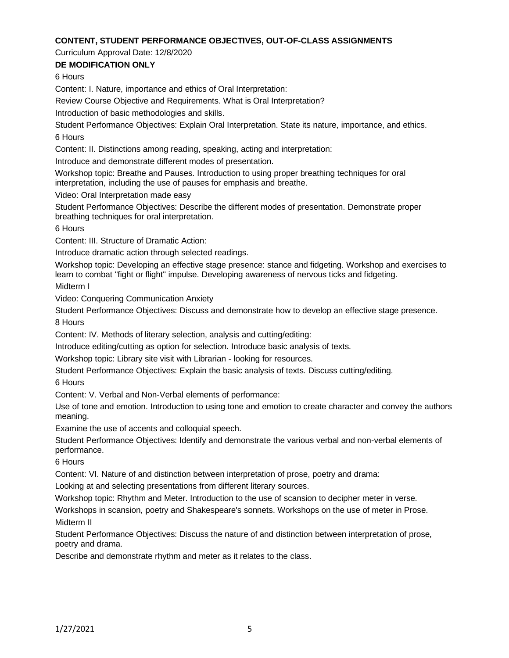### **CONTENT, STUDENT PERFORMANCE OBJECTIVES, OUT-OF-CLASS ASSIGNMENTS**

Curriculum Approval Date: 12/8/2020

**DE MODIFICATION ONLY**

6 Hours

Content: I. Nature, importance and ethics of Oral Interpretation:

Review Course Objective and Requirements. What is Oral Interpretation?

Introduction of basic methodologies and skills.

Student Performance Objectives: Explain Oral Interpretation. State its nature, importance, and ethics. 6 Hours

Content: II. Distinctions among reading, speaking, acting and interpretation:

Introduce and demonstrate different modes of presentation.

Workshop topic: Breathe and Pauses. Introduction to using proper breathing techniques for oral interpretation, including the use of pauses for emphasis and breathe.

Video: Oral Interpretation made easy

Student Performance Objectives: Describe the different modes of presentation. Demonstrate proper breathing techniques for oral interpretation.

6 Hours

Content: III. Structure of Dramatic Action:

Introduce dramatic action through selected readings.

Workshop topic: Developing an effective stage presence: stance and fidgeting. Workshop and exercises to learn to combat "fight or flight" impulse. Developing awareness of nervous ticks and fidgeting. Midterm I

Video: Conquering Communication Anxiety

Student Performance Objectives: Discuss and demonstrate how to develop an effective stage presence. 8 Hours

Content: IV. Methods of literary selection, analysis and cutting/editing:

Introduce editing/cutting as option for selection. Introduce basic analysis of texts.

Workshop topic: Library site visit with Librarian - looking for resources.

Student Performance Objectives: Explain the basic analysis of texts. Discuss cutting/editing.

6 Hours

Content: V. Verbal and Non-Verbal elements of performance:

Use of tone and emotion. Introduction to using tone and emotion to create character and convey the authors meaning.

Examine the use of accents and colloquial speech.

Student Performance Objectives: Identify and demonstrate the various verbal and non-verbal elements of performance.

6 Hours

Content: VI. Nature of and distinction between interpretation of prose, poetry and drama:

Looking at and selecting presentations from different literary sources.

Workshop topic: Rhythm and Meter. Introduction to the use of scansion to decipher meter in verse.

Workshops in scansion, poetry and Shakespeare's sonnets. Workshops on the use of meter in Prose. Midterm II

Student Performance Objectives: Discuss the nature of and distinction between interpretation of prose, poetry and drama.

Describe and demonstrate rhythm and meter as it relates to the class.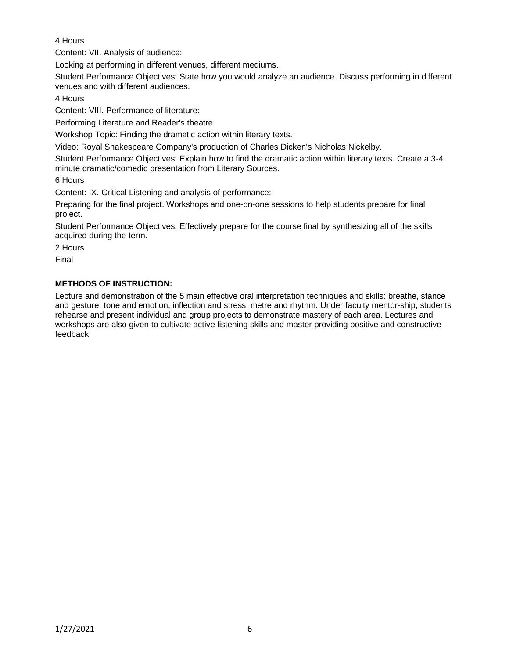# 4 Hours

Content: VII. Analysis of audience:

Looking at performing in different venues, different mediums.

Student Performance Objectives: State how you would analyze an audience. Discuss performing in different venues and with different audiences.

4 Hours

Content: VIII. Performance of literature:

Performing Literature and Reader's theatre

Workshop Topic: Finding the dramatic action within literary texts.

Video: Royal Shakespeare Company's production of Charles Dicken's Nicholas Nickelby.

Student Performance Objectives: Explain how to find the dramatic action within literary texts. Create a 3-4 minute dramatic/comedic presentation from Literary Sources.

6 Hours

Content: IX. Critical Listening and analysis of performance:

Preparing for the final project. Workshops and one-on-one sessions to help students prepare for final project.

Student Performance Objectives: Effectively prepare for the course final by synthesizing all of the skills acquired during the term.

2 Hours

Final

## **METHODS OF INSTRUCTION:**

Lecture and demonstration of the 5 main effective oral interpretation techniques and skills: breathe, stance and gesture, tone and emotion, inflection and stress, metre and rhythm. Under faculty mentor-ship, students rehearse and present individual and group projects to demonstrate mastery of each area. Lectures and workshops are also given to cultivate active listening skills and master providing positive and constructive feedback.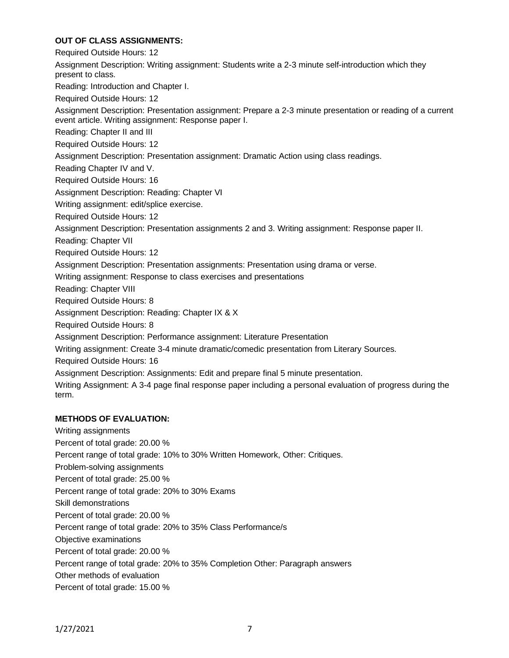### **OUT OF CLASS ASSIGNMENTS:**

Required Outside Hours: 12 Assignment Description: Writing assignment: Students write a 2-3 minute self-introduction which they present to class. Reading: Introduction and Chapter I. Required Outside Hours: 12 Assignment Description: Presentation assignment: Prepare a 2-3 minute presentation or reading of a current event article. Writing assignment: Response paper I. Reading: Chapter II and III Required Outside Hours: 12 Assignment Description: Presentation assignment: Dramatic Action using class readings. Reading Chapter IV and V. Required Outside Hours: 16 Assignment Description: Reading: Chapter VI Writing assignment: edit/splice exercise. Required Outside Hours: 12 Assignment Description: Presentation assignments 2 and 3. Writing assignment: Response paper II. Reading: Chapter VII Required Outside Hours: 12 Assignment Description: Presentation assignments: Presentation using drama or verse. Writing assignment: Response to class exercises and presentations Reading: Chapter VIII Required Outside Hours: 8 Assignment Description: Reading: Chapter IX & X Required Outside Hours: 8 Assignment Description: Performance assignment: Literature Presentation Writing assignment: Create 3-4 minute dramatic/comedic presentation from Literary Sources. Required Outside Hours: 16 Assignment Description: Assignments: Edit and prepare final 5 minute presentation. Writing Assignment: A 3-4 page final response paper including a personal evaluation of progress during the term.

### **METHODS OF EVALUATION:**

Writing assignments Percent of total grade: 20.00 % Percent range of total grade: 10% to 30% Written Homework, Other: Critiques. Problem-solving assignments Percent of total grade: 25.00 % Percent range of total grade: 20% to 30% Exams Skill demonstrations Percent of total grade: 20.00 % Percent range of total grade: 20% to 35% Class Performance/s Objective examinations Percent of total grade: 20.00 % Percent range of total grade: 20% to 35% Completion Other: Paragraph answers Other methods of evaluation Percent of total grade: 15.00 %